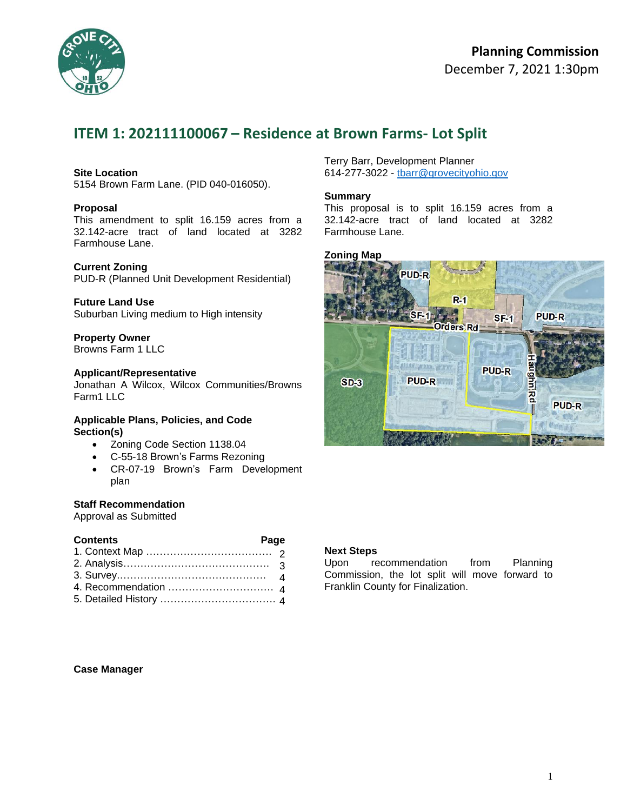

## **Planning Commission**  December 7, 2021 1:30pm

# **ITEM 1: 202111100067 – Residence at Brown Farms- Lot Split**

### **Site Location**

5154 Brown Farm Lane. (PID 040-016050).

#### **Proposal**

This amendment to split 16.159 acres from a 32.142-acre tract of land located at 3282 Farmhouse Lane.

#### **Current Zoning**

PUD-R (Planned Unit Development Residential)

#### **Future Land Use**

Suburban Living medium to High intensity

## **Property Owner**

Browns Farm 1 LLC

#### **Applicant/Representative**

Jonathan A Wilcox, Wilcox Communities/Browns Farm1 LLC

#### **Applicable Plans, Policies, and Code Section(s)**

- Zoning Code Section 1138.04
- C-55-18 Brown's Farms Rezoning
- CR-07-19 Brown's Farm Development plan

#### **Staff Recommendation**

Approval as Submitted

### **Contents Page**

Terry Barr, Development Planner 614-277-3022 - [tbarr@grovecityohio.gov](mailto:tbarr@grovecityohio.gov)

#### **Summary**

This proposal is to split 16.159 acres from a 32.142-acre tract of land located at 3282 Farmhouse Lane.

## **Zoning Map**



### **Next Steps**

Upon recommendation from Planning Commission, the lot split will move forward to Franklin County for Finalization.

**Case Manager**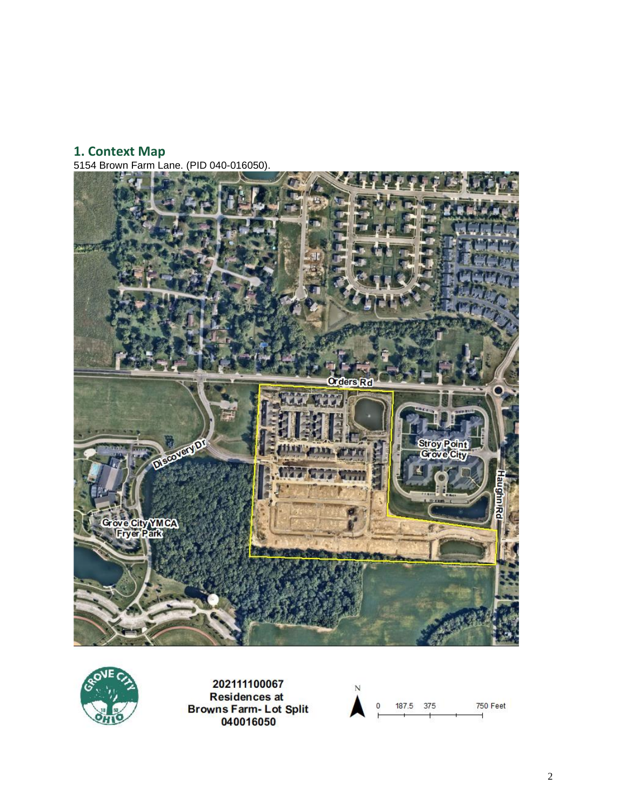## **1. Context Map**

5154 Brown Farm Lane. (PID 040-016050).





202111100067 **Residences at** Browns Farm-Lot Split<br>040016050

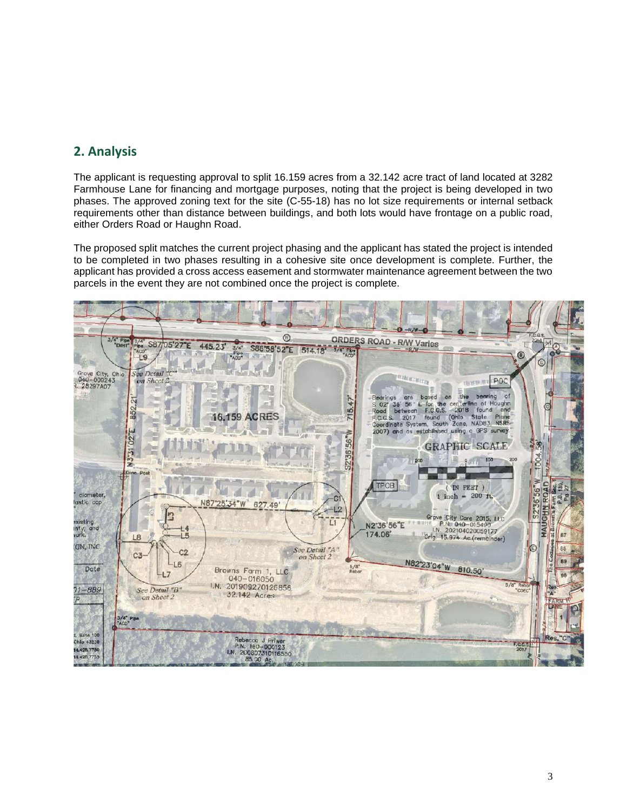## **2. Analysis**

The applicant is requesting approval to split 16.159 acres from a 32.142 acre tract of land located at 3282 Farmhouse Lane for financing and mortgage purposes, noting that the project is being developed in two phases. The approved zoning text for the site (C-55-18) has no lot size requirements or internal setback requirements other than distance between buildings, and both lots would have frontage on a public road, either Orders Road or Haughn Road.

The proposed split matches the current project phasing and the applicant has stated the project is intended to be completed in two phases resulting in a cohesive site once development is complete. Further, the applicant has provided a cross access easement and stormwater maintenance agreement between the two parcels in the event they are not combined once the project is complete.